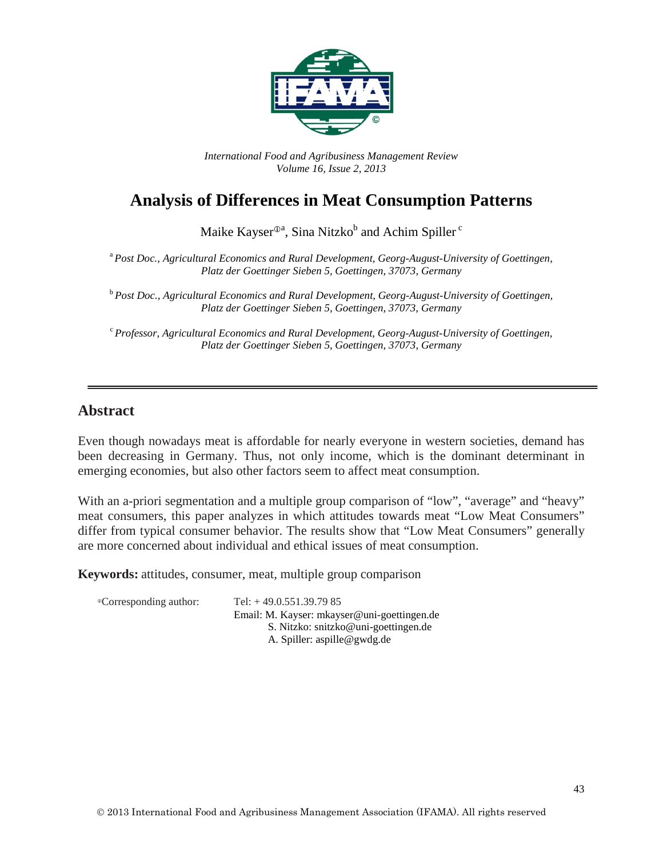

*International Food and Agribusiness Management Review Volume 16, Issue 2, 2013*

# **Analysis of Differences in Meat Consumption Patterns**

Maike Kayser $^{\oplus a}$ , Sina Nitzko $^{\rm b}$  and Achim Spiller  $^{\rm c}$ 

<sup>a</sup> *Post Doc., Agricultural Economics and Rural Development, Georg-August-University of Goettingen, Platz der Goettinger Sieben 5, Goettingen, 37073, Germany*

<sup>b</sup> *Post Doc., Agricultural Economics and Rural Development, Georg-August-University of Goettingen, Platz der Goettinger Sieben 5, Goettingen, 37073, Germany*

<sup>c</sup> *Professor, Agricultural Economics and Rural Development, Georg-August-University of Goettingen, Platz der Goettinger Sieben 5, Goettingen, 37073, Germany*

#### **Abstract**

Even though nowadays meat is affordable for nearly everyone in western societies, demand has been decreasing in Germany. Thus, not only income, which is the dominant determinant in emerging economies, but also other factors seem to affect meat consumption.

With an a-priori segmentation and a multiple group comparison of "low", "average" and "heavy" meat consumers, this paper analyzes in which attitudes towards meat "Low Meat Consumers" differ from typical consumer behavior. The results show that "Low Meat Consumers" generally are more concerned about individual and ethical issues of meat consumption.

**Keywords:** attitudes, consumer, meat, multiple group comparison

| <sup>®</sup> Corresponding author: | Tel: $+49.0.551.39.7985$                    |
|------------------------------------|---------------------------------------------|
|                                    | Email: M. Kayser: mkayser@uni-goettingen.de |
|                                    | S. Nitzko: snitzko@uni-goettingen.de        |
|                                    | A. Spiller: $aspile@gwdg.de$                |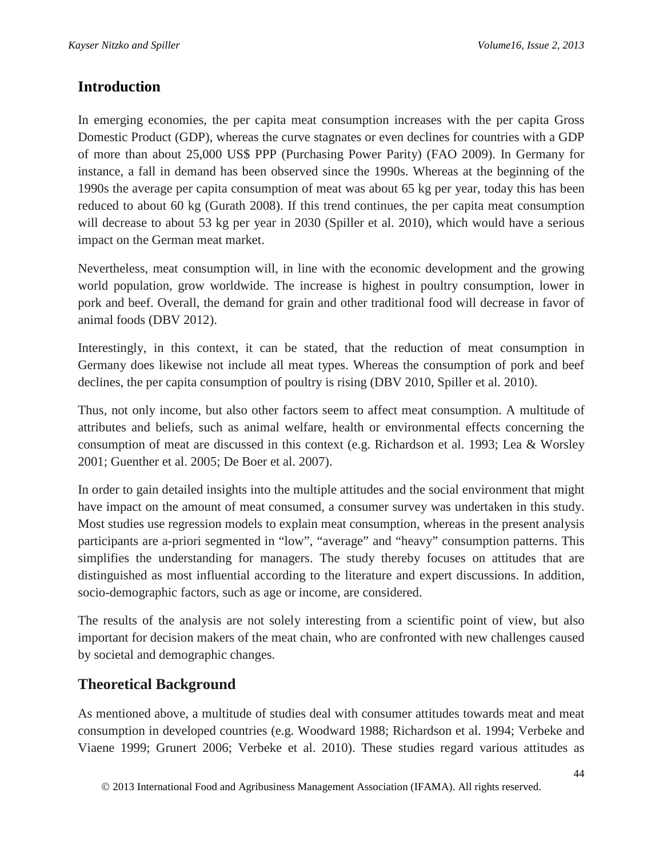# **Introduction**

In emerging economies, the per capita meat consumption increases with the per capita Gross Domestic Product (GDP), whereas the curve stagnates or even declines for countries with a GDP of more than about 25,000 US\$ PPP (Purchasing Power Parity) (FAO 2009). In Germany for instance, a fall in demand has been observed since the 1990s. Whereas at the beginning of the 1990s the average per capita consumption of meat was about 65 kg per year, today this has been reduced to about 60 kg (Gurath 2008). If this trend continues, the per capita meat consumption will decrease to about 53 kg per year in 2030 (Spiller et al. 2010), which would have a serious impact on the German meat market.

Nevertheless, meat consumption will, in line with the economic development and the growing world population, grow worldwide. The increase is highest in poultry consumption, lower in pork and beef. Overall, the demand for grain and other traditional food will decrease in favor of animal foods (DBV 2012).

Interestingly, in this context, it can be stated, that the reduction of meat consumption in Germany does likewise not include all meat types. Whereas the consumption of pork and beef declines, the per capita consumption of poultry is rising (DBV 2010, Spiller et al. 2010).

Thus, not only income, but also other factors seem to affect meat consumption. A multitude of attributes and beliefs, such as animal welfare, health or environmental effects concerning the consumption of meat are discussed in this context (e.g. Richardson et al. 1993; Lea & Worsley 2001; Guenther et al. 2005; De Boer et al. 2007).

In order to gain detailed insights into the multiple attitudes and the social environment that might have impact on the amount of meat consumed, a consumer survey was undertaken in this study. Most studies use regression models to explain meat consumption, whereas in the present analysis participants are a-priori segmented in "low", "average" and "heavy" consumption patterns. This simplifies the understanding for managers. The study thereby focuses on attitudes that are distinguished as most influential according to the literature and expert discussions. In addition, socio-demographic factors, such as age or income, are considered.

The results of the analysis are not solely interesting from a scientific point of view, but also important for decision makers of the meat chain, who are confronted with new challenges caused by societal and demographic changes.

# **Theoretical Background**

As mentioned above, a multitude of studies deal with consumer attitudes towards meat and meat consumption in developed countries (e.g. Woodward 1988; Richardson et al. 1994; Verbeke and Viaene 1999; Grunert 2006; Verbeke et al. 2010). These studies regard various attitudes as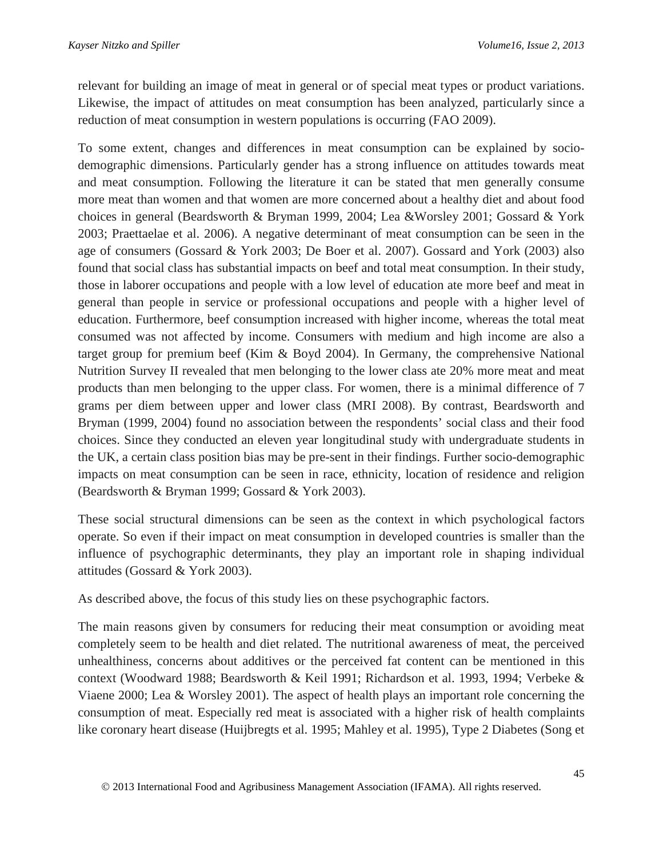relevant for building an image of meat in general or of special meat types or product variations. Likewise, the impact of attitudes on meat consumption has been analyzed, particularly since a reduction of meat consumption in western populations is occurring (FAO 2009).

To some extent, changes and differences in meat consumption can be explained by sociodemographic dimensions. Particularly gender has a strong influence on attitudes towards meat and meat consumption. Following the literature it can be stated that men generally consume more meat than women and that women are more concerned about a healthy diet and about food choices in general (Beardsworth & Bryman 1999, 2004; Lea &Worsley 2001; Gossard & York 2003; Praettaelae et al. 2006). A negative determinant of meat consumption can be seen in the age of consumers (Gossard & York 2003; De Boer et al. 2007). Gossard and York (2003) also found that social class has substantial impacts on beef and total meat consumption. In their study, those in laborer occupations and people with a low level of education ate more beef and meat in general than people in service or professional occupations and people with a higher level of education. Furthermore, beef consumption increased with higher income, whereas the total meat consumed was not affected by income. Consumers with medium and high income are also a target group for premium beef (Kim & Boyd 2004). In Germany, the comprehensive National Nutrition Survey II revealed that men belonging to the lower class ate 20% more meat and meat products than men belonging to the upper class. For women, there is a minimal difference of 7 grams per diem between upper and lower class (MRI 2008). By contrast, Beardsworth and Bryman (1999, 2004) found no association between the respondents' social class and their food choices. Since they conducted an eleven year longitudinal study with undergraduate students in the UK, a certain class position bias may be pre-sent in their findings. Further socio-demographic impacts on meat consumption can be seen in race, ethnicity, location of residence and religion (Beardsworth & Bryman 1999; Gossard & York 2003).

These social structural dimensions can be seen as the context in which psychological factors operate. So even if their impact on meat consumption in developed countries is smaller than the influence of psychographic determinants, they play an important role in shaping individual attitudes (Gossard & York 2003).

As described above, the focus of this study lies on these psychographic factors.

The main reasons given by consumers for reducing their meat consumption or avoiding meat completely seem to be health and diet related. The nutritional awareness of meat, the perceived unhealthiness, concerns about additives or the perceived fat content can be mentioned in this context (Woodward 1988; Beardsworth & Keil 1991; Richardson et al. 1993, 1994; Verbeke & Viaene 2000; Lea & Worsley 2001). The aspect of health plays an important role concerning the consumption of meat. Especially red meat is associated with a higher risk of health complaints like coronary heart disease (Huijbregts et al. 1995; Mahley et al. 1995), Type 2 Diabetes (Song et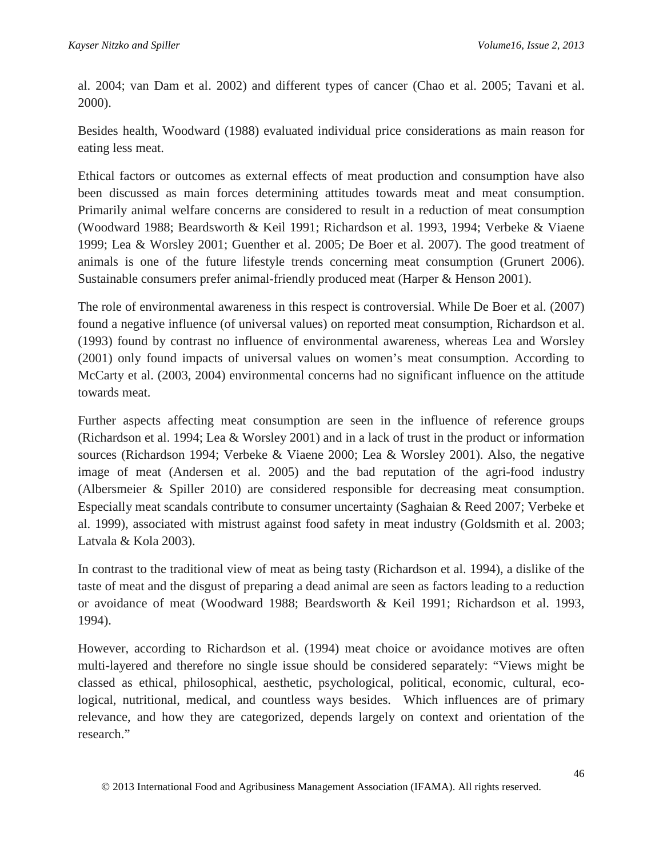al. 2004; van Dam et al. 2002) and different types of cancer (Chao et al. 2005; Tavani et al. 2000).

Besides health, Woodward (1988) evaluated individual price considerations as main reason for eating less meat.

Ethical factors or outcomes as external effects of meat production and consumption have also been discussed as main forces determining attitudes towards meat and meat consumption. Primarily animal welfare concerns are considered to result in a reduction of meat consumption (Woodward 1988; Beardsworth & Keil 1991; Richardson et al. 1993, 1994; Verbeke & Viaene 1999; Lea & Worsley 2001; Guenther et al. 2005; De Boer et al. 2007). The good treatment of animals is one of the future lifestyle trends concerning meat consumption (Grunert 2006). Sustainable consumers prefer animal-friendly produced meat (Harper & Henson 2001).

The role of environmental awareness in this respect is controversial. While De Boer et al. (2007) found a negative influence (of universal values) on reported meat consumption, Richardson et al. (1993) found by contrast no influence of environmental awareness, whereas Lea and Worsley (2001) only found impacts of universal values on women's meat consumption. According to McCarty et al. (2003, 2004) environmental concerns had no significant influence on the attitude towards meat.

Further aspects affecting meat consumption are seen in the influence of reference groups (Richardson et al. 1994; Lea & Worsley 2001) and in a lack of trust in the product or information sources (Richardson 1994; Verbeke & Viaene 2000; Lea & Worsley 2001). Also, the negative image of meat (Andersen et al. 2005) and the bad reputation of the agri-food industry (Albersmeier & Spiller 2010) are considered responsible for decreasing meat consumption. Especially meat scandals contribute to consumer uncertainty (Saghaian & Reed 2007; Verbeke et al. 1999), associated with mistrust against food safety in meat industry (Goldsmith et al. 2003; Latvala & Kola 2003).

In contrast to the traditional view of meat as being tasty (Richardson et al. 1994), a dislike of the taste of meat and the disgust of preparing a dead animal are seen as factors leading to a reduction or avoidance of meat (Woodward 1988; Beardsworth & Keil 1991; Richardson et al. 1993, 1994).

However, according to Richardson et al. (1994) meat choice or avoidance motives are often multi-layered and therefore no single issue should be considered separately: "Views might be classed as ethical, philosophical, aesthetic, psychological, political, economic, cultural, ecological, nutritional, medical, and countless ways besides. Which influences are of primary relevance, and how they are categorized, depends largely on context and orientation of the research."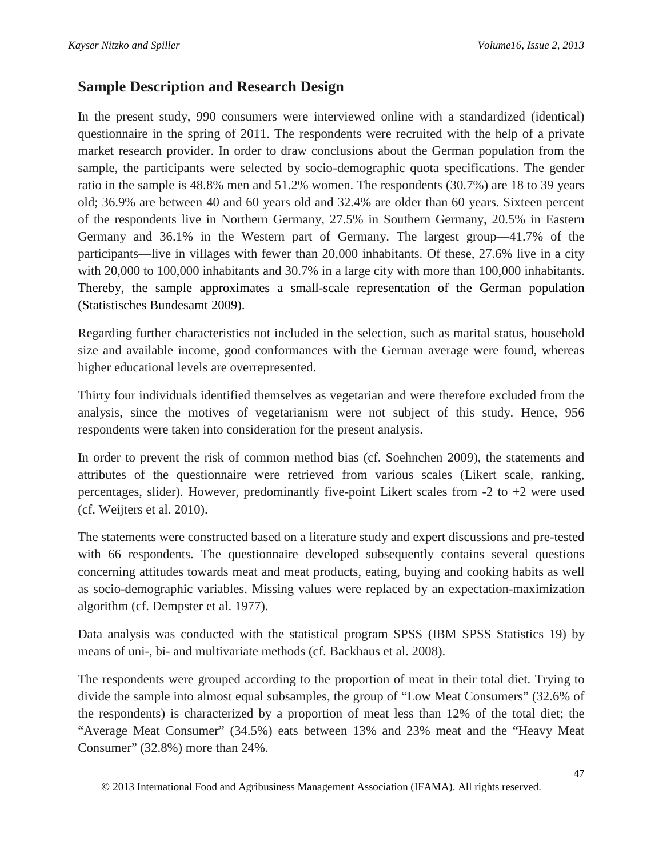## **Sample Description and Research Design**

In the present study, 990 consumers were interviewed online with a standardized (identical) questionnaire in the spring of 2011. The respondents were recruited with the help of a private market research provider. In order to draw conclusions about the German population from the sample, the participants were selected by socio-demographic quota specifications. The gender ratio in the sample is 48.8% men and 51.2% women. The respondents (30.7%) are 18 to 39 years old; 36.9% are between 40 and 60 years old and 32.4% are older than 60 years. Sixteen percent of the respondents live in Northern Germany, 27.5% in Southern Germany, 20.5% in Eastern Germany and 36.1% in the Western part of Germany. The largest group—41.7% of the participants—live in villages with fewer than 20,000 inhabitants. Of these, 27.6% live in a city with 20,000 to 100,000 inhabitants and 30.7% in a large city with more than 100,000 inhabitants. Thereby, the sample approximates a small-scale representation of the German population (Statistisches Bundesamt 2009).

Regarding further characteristics not included in the selection, such as marital status, household size and available income, good conformances with the German average were found, whereas higher educational levels are overrepresented.

Thirty four individuals identified themselves as vegetarian and were therefore excluded from the analysis, since the motives of vegetarianism were not subject of this study. Hence, 956 respondents were taken into consideration for the present analysis.

In order to prevent the risk of common method bias (cf. Soehnchen 2009), the statements and attributes of the questionnaire were retrieved from various scales (Likert scale, ranking, percentages, slider). However, predominantly five-point Likert scales from -2 to +2 were used (cf. Weijters et al. 2010).

The statements were constructed based on a literature study and expert discussions and pre-tested with 66 respondents. The questionnaire developed subsequently contains several questions concerning attitudes towards meat and meat products, eating, buying and cooking habits as well as socio-demographic variables. Missing values were replaced by an expectation-maximization algorithm (cf. Dempster et al. 1977).

Data analysis was conducted with the statistical program SPSS (IBM SPSS Statistics 19) by means of uni-, bi- and multivariate methods (cf. Backhaus et al. 2008).

The respondents were grouped according to the proportion of meat in their total diet. Trying to divide the sample into almost equal subsamples, the group of "Low Meat Consumers" (32.6% of the respondents) is characterized by a proportion of meat less than 12% of the total diet; the "Average Meat Consumer" (34.5%) eats between 13% and 23% meat and the "Heavy Meat Consumer" (32.8%) more than 24%.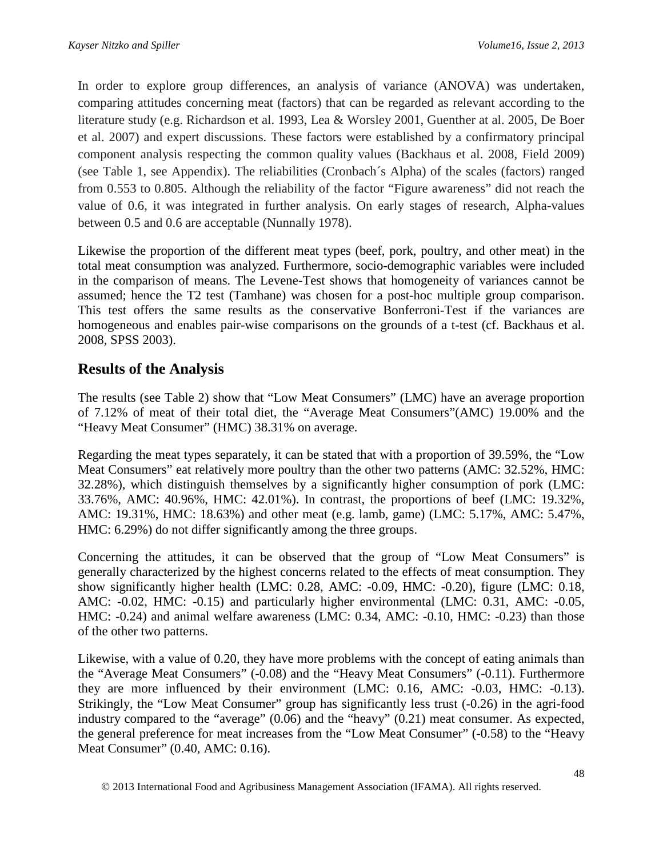In order to explore group differences, an analysis of variance (ANOVA) was undertaken, comparing attitudes concerning meat (factors) that can be regarded as relevant according to the literature study (e.g. Richardson et al. 1993, Lea & Worsley 2001, Guenther at al. 2005, De Boer et al. 2007) and expert discussions. These factors were established by a confirmatory principal component analysis respecting the common quality values (Backhaus et al. 2008, Field 2009) (see Table 1, see Appendix). The reliabilities (Cronbach´s Alpha) of the scales (factors) ranged from 0.553 to 0.805. Although the reliability of the factor "Figure awareness" did not reach the value of 0.6, it was integrated in further analysis. On early stages of research, Alpha-values between 0.5 and 0.6 are acceptable (Nunnally 1978).

Likewise the proportion of the different meat types (beef, pork, poultry, and other meat) in the total meat consumption was analyzed. Furthermore, socio-demographic variables were included in the comparison of means. The Levene-Test shows that homogeneity of variances cannot be assumed; hence the T2 test (Tamhane) was chosen for a post-hoc multiple group comparison. This test offers the same results as the conservative Bonferroni-Test if the variances are homogeneous and enables pair-wise comparisons on the grounds of a t-test (cf. Backhaus et al. 2008, SPSS 2003).

# **Results of the Analysis**

The results (see Table 2) show that "Low Meat Consumers" (LMC) have an average proportion of 7.12% of meat of their total diet, the "Average Meat Consumers"(AMC) 19.00% and the "Heavy Meat Consumer" (HMC) 38.31% on average.

Regarding the meat types separately, it can be stated that with a proportion of 39.59%, the "Low Meat Consumers" eat relatively more poultry than the other two patterns (AMC: 32.52%, HMC: 32.28%), which distinguish themselves by a significantly higher consumption of pork (LMC: 33.76%, AMC: 40.96%, HMC: 42.01%). In contrast, the proportions of beef (LMC: 19.32%, AMC: 19.31%, HMC: 18.63%) and other meat (e.g. lamb, game) (LMC: 5.17%, AMC: 5.47%, HMC: 6.29%) do not differ significantly among the three groups.

Concerning the attitudes, it can be observed that the group of "Low Meat Consumers" is generally characterized by the highest concerns related to the effects of meat consumption. They show significantly higher health (LMC: 0.28, AMC: -0.09, HMC: -0.20), figure (LMC: 0.18, AMC: -0.02, HMC: -0.15) and particularly higher environmental (LMC: 0.31, AMC: -0.05, HMC: -0.24) and animal welfare awareness (LMC: 0.34, AMC: -0.10, HMC: -0.23) than those of the other two patterns.

Likewise, with a value of 0.20, they have more problems with the concept of eating animals than the "Average Meat Consumers" (-0.08) and the "Heavy Meat Consumers" (-0.11). Furthermore they are more influenced by their environment (LMC: 0.16, AMC: -0.03, HMC: -0.13). Strikingly, the "Low Meat Consumer" group has significantly less trust (-0.26) in the agri-food industry compared to the "average" (0.06) and the "heavy" (0.21) meat consumer. As expected, the general preference for meat increases from the "Low Meat Consumer" (-0.58) to the "Heavy Meat Consumer" (0.40, AMC: 0.16).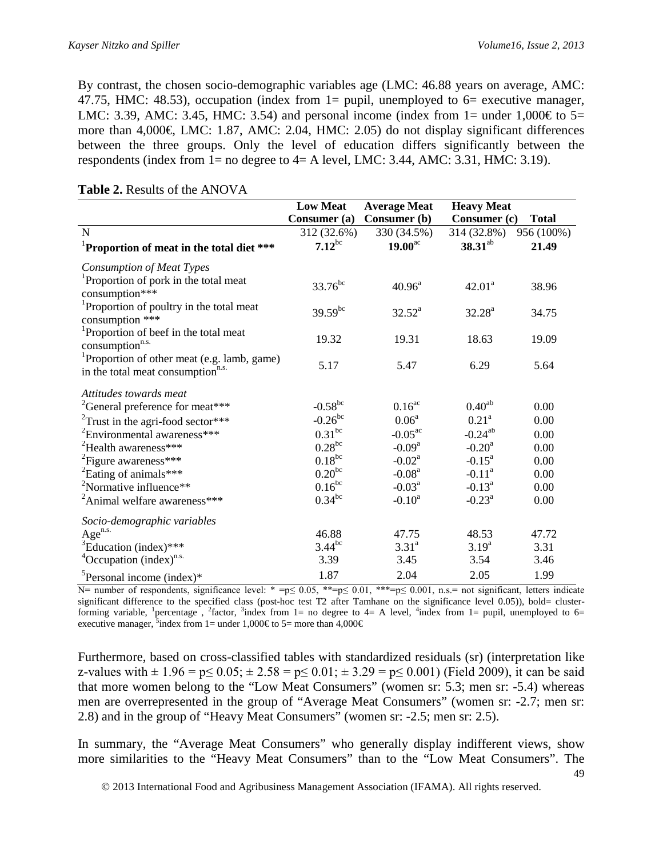By contrast, the chosen socio-demographic variables age (LMC: 46.88 years on average, AMC: 47.75, HMC: 48.53), occupation (index from  $1=$  pupil, unemployed to  $6=$  executive manager, LMC: 3.39, AMC: 3.45, HMC: 3.54) and personal income (index from 1= under 1,000 $\in$  to 5= more than  $4,000 \in$  LMC: 1.87, AMC: 2.04, HMC: 2.05) do not display significant differences between the three groups. Only the level of education differs significantly between the respondents (index from  $1=$  no degree to  $4=$  A level, LMC: 3.44, AMC: 3.31, HMC: 3.19).

|                                                                                             | <b>Low Meat</b> | <b>Average Meat</b> | <b>Heavy Meat</b>    |              |
|---------------------------------------------------------------------------------------------|-----------------|---------------------|----------------------|--------------|
|                                                                                             | Consumer (a)    | <b>Consumer</b> (b) | Consumer (c)         | <b>Total</b> |
| N                                                                                           | 312 (32.6%)     | 330 (34.5%)         | 314 (32.8%)          | 956 (100%)   |
| <sup>1</sup> Proportion of meat in the total diet ***                                       | $7.12^{bc}$     | $19.00^{\text{ac}}$ | $38.31^{ab}$         | 21.49        |
| Consumption of Meat Types                                                                   |                 |                     |                      |              |
| <sup>1</sup> Proportion of pork in the total meat<br>consumption***                         | $33.76^{bc}$    | $40.96^{\text{a}}$  | $42.01^a$            | 38.96        |
| <sup>1</sup> Proportion of poultry in the total meat<br>consumption ***                     | $39.59^{bc}$    | $32.52^a$           | $32.28^a$            | 34.75        |
| <sup>1</sup> Proportion of beef in the total meat<br>consumption <sup>n.s.</sup>            | 19.32           | 19.31               | 18.63                | 19.09        |
| Proportion of other meat (e.g. lamb, game)<br>in the total meat consumption <sup>n.s.</sup> | 5.17            | 5.47                | 6.29                 | 5.64         |
| Attitudes towards meat                                                                      |                 |                     |                      |              |
| <sup>2</sup> General preference for meat***                                                 | $-0.58^{bc}$    | $0.16^{ac}$         | $0.40^{ab}$          | 0.00         |
| <sup>2</sup> Trust in the agri-food sector***                                               | $-0.26^{bc}$    | 0.06 <sup>a</sup>   | $0.21^{\rm a}$       | 0.00         |
| <sup>2</sup> Environmental awareness***                                                     | $0.31^{bc}$     | $-0.05^{\text{ac}}$ | $-0.24^{ab}$         | 0.00         |
| <sup>2</sup> Health awareness***                                                            | $0.28^{bc}$     | $-0.09a$            | $-0.20$ <sup>a</sup> | 0.00         |
| <sup>2</sup> Figure awareness***                                                            | $0.18^{bc}$     | $-0.02^a$           | $-0.15^a$            | 0.00         |
| <sup>2</sup> Eating of animals***                                                           | $0.20^{bc}$     | $-0.08a$            | $-0.11^a$            | 0.00         |
| <sup>2</sup> Normative influence**                                                          | $0.16^{bc}$     | $-0.03^{\text{a}}$  | $-0.13^a$            | 0.00         |
| <sup>2</sup> Animal welfare awareness***                                                    | $0.34^{bc}$     | $-0.10^a$           | $-0.23^{\text{a}}$   | 0.00         |
| Socio-demographic variables                                                                 |                 |                     |                      |              |
| $Age^{n.s.}$                                                                                | 46.88           | 47.75               | 48.53                | 47.72        |
| ${}^{3}$ Education (index)***                                                               | $3.44^{bc}$     | $3.31^{a}$          | $3.19^{a}$           | 3.31         |
| $4$ Occupation (index) <sup>n.s.</sup>                                                      | 3.39            | 3.45                | 3.54                 | 3.46         |
| ${}^{5}$ Personal income (index)*                                                           | 1.87            | 2.04                | 2.05                 | 1.99         |

#### **Table 2.** Results of the ANOVA

N= number of respondents, significance level: \* =p≤ 0.05, \*\*=p≤ 0.01, \*\*\*=p≤ 0.001, n.s.= not significant, letters indicate significant difference to the specified class (post-hoc test T2 after Tamhane on the significance level 0.05)), bold= clusterforming variable, <sup>1</sup> percentage, <sup>2</sup> factor, <sup>3</sup> index from 1= no degree to 4= A level, <sup>4</sup> index from 1= pupil, unemployed to 6= executive manager, <sup>5</sup>index from 1= under 1,000€ to 5= more than 4,000€

Furthermore, based on cross-classified tables with standardized residuals (sr) (interpretation like z-values with  $\pm 1.96 = p \le 0.05$ ;  $\pm 2.58 = p \le 0.01$ ;  $\pm 3.29 = p \le 0.001$ ) (Field 2009), it can be said that more women belong to the "Low Meat Consumers" (women sr: 5.3; men sr: -5.4) whereas men are overrepresented in the group of "Average Meat Consumers" (women sr: -2.7; men sr: 2.8) and in the group of "Heavy Meat Consumers" (women sr: -2.5; men sr: 2.5).

In summary, the "Average Meat Consumers" who generally display indifferent views, show more similarities to the "Heavy Meat Consumers" than to the "Low Meat Consumers". The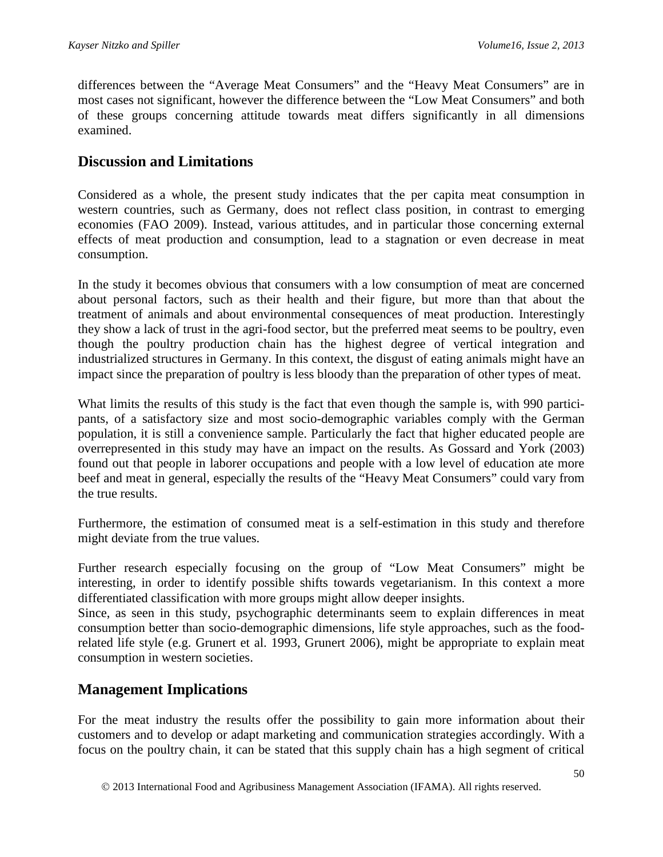differences between the "Average Meat Consumers" and the "Heavy Meat Consumers" are in most cases not significant, however the difference between the "Low Meat Consumers" and both of these groups concerning attitude towards meat differs significantly in all dimensions examined.

### **Discussion and Limitations**

Considered as a whole, the present study indicates that the per capita meat consumption in western countries, such as Germany, does not reflect class position, in contrast to emerging economies (FAO 2009). Instead, various attitudes, and in particular those concerning external effects of meat production and consumption, lead to a stagnation or even decrease in meat consumption.

In the study it becomes obvious that consumers with a low consumption of meat are concerned about personal factors, such as their health and their figure, but more than that about the treatment of animals and about environmental consequences of meat production. Interestingly they show a lack of trust in the agri-food sector, but the preferred meat seems to be poultry, even though the poultry production chain has the highest degree of vertical integration and industrialized structures in Germany. In this context, the disgust of eating animals might have an impact since the preparation of poultry is less bloody than the preparation of other types of meat.

What limits the results of this study is the fact that even though the sample is, with 990 participants, of a satisfactory size and most socio-demographic variables comply with the German population, it is still a convenience sample. Particularly the fact that higher educated people are overrepresented in this study may have an impact on the results. As Gossard and York (2003) found out that people in laborer occupations and people with a low level of education ate more beef and meat in general, especially the results of the "Heavy Meat Consumers" could vary from the true results.

Furthermore, the estimation of consumed meat is a self-estimation in this study and therefore might deviate from the true values.

Further research especially focusing on the group of "Low Meat Consumers" might be interesting, in order to identify possible shifts towards vegetarianism. In this context a more differentiated classification with more groups might allow deeper insights.

Since, as seen in this study, psychographic determinants seem to explain differences in meat consumption better than socio-demographic dimensions, life style approaches, such as the foodrelated life style (e.g. Grunert et al. 1993, Grunert 2006), might be appropriate to explain meat consumption in western societies.

## **Management Implications**

For the meat industry the results offer the possibility to gain more information about their customers and to develop or adapt marketing and communication strategies accordingly. With a focus on the poultry chain, it can be stated that this supply chain has a high segment of critical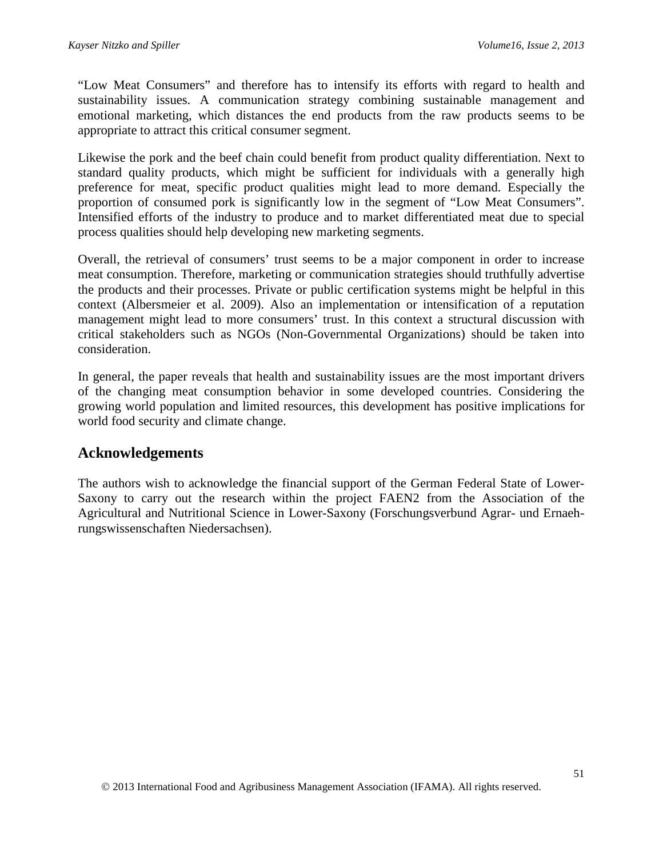"Low Meat Consumers" and therefore has to intensify its efforts with regard to health and sustainability issues. A communication strategy combining sustainable management and emotional marketing, which distances the end products from the raw products seems to be appropriate to attract this critical consumer segment.

Likewise the pork and the beef chain could benefit from product quality differentiation. Next to standard quality products, which might be sufficient for individuals with a generally high preference for meat, specific product qualities might lead to more demand. Especially the proportion of consumed pork is significantly low in the segment of "Low Meat Consumers". Intensified efforts of the industry to produce and to market differentiated meat due to special process qualities should help developing new marketing segments.

Overall, the retrieval of consumers' trust seems to be a major component in order to increase meat consumption. Therefore, marketing or communication strategies should truthfully advertise the products and their processes. Private or public certification systems might be helpful in this context (Albersmeier et al. 2009). Also an implementation or intensification of a reputation management might lead to more consumers' trust. In this context a structural discussion with critical stakeholders such as NGOs (Non-Governmental Organizations) should be taken into consideration.

In general, the paper reveals that health and sustainability issues are the most important drivers of the changing meat consumption behavior in some developed countries. Considering the growing world population and limited resources, this development has positive implications for world food security and climate change.

### **Acknowledgements**

The authors wish to acknowledge the financial support of the German Federal State of Lower-Saxony to carry out the research within the project FAEN2 from the Association of the Agricultural and Nutritional Science in Lower-Saxony (Forschungsverbund Agrar- und Ernaehrungswissenschaften Niedersachsen).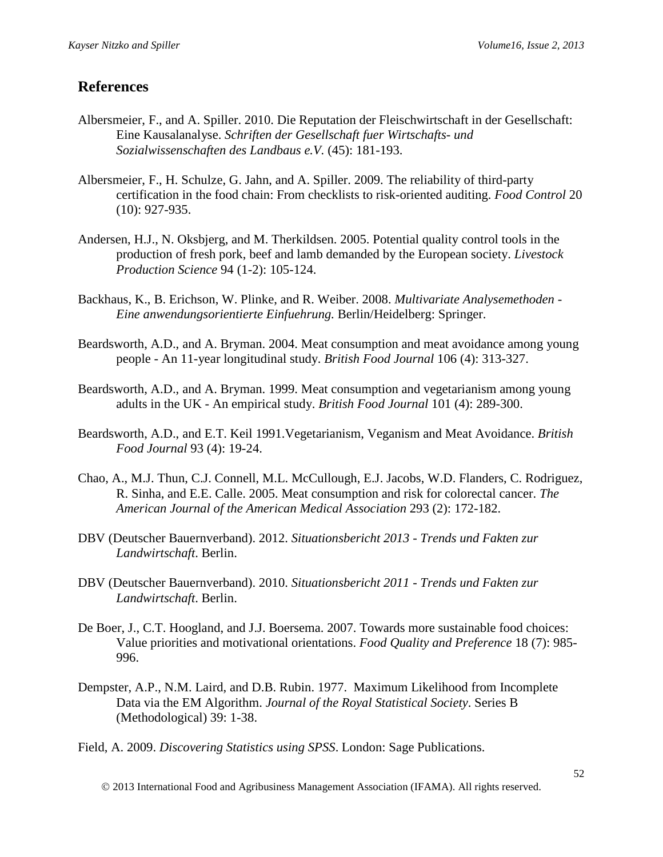# **References**

- Albersmeier, F., and A. Spiller. 2010. Die Reputation der Fleischwirtschaft in der Gesellschaft: Eine Kausalanalyse. *Schriften der Gesellschaft fuer Wirtschafts- und Sozialwissenschaften des Landbaus e.V.* (45): 181-193.
- Albersmeier, F., H. Schulze, G. Jahn, and A. Spiller. 2009. The reliability of third-party certification in the food chain: From checklists to risk-oriented auditing. *Food Control* 20 (10): 927-935.
- Andersen, H.J., N. Oksbjerg, and M. Therkildsen. 2005. Potential quality control tools in the production of fresh pork, beef and lamb demanded by the European society. *Livestock Production Science* 94 (1-2): 105-124.
- Backhaus, K., B. Erichson, W. Plinke, and R. Weiber. 2008. *Multivariate Analysemethoden Eine anwendungsorientierte Einfuehrung.* Berlin/Heidelberg: Springer.
- Beardsworth, A.D., and A. Bryman. 2004. Meat consumption and meat avoidance among young people - An 11-year longitudinal study. *British Food Journal* 106 (4): 313-327.
- Beardsworth, A.D., and A. Bryman. 1999. Meat consumption and vegetarianism among young adults in the UK - An empirical study. *British Food Journal* 101 (4): 289-300.
- Beardsworth, A.D., and E.T. Keil 1991.Vegetarianism, Veganism and Meat Avoidance. *British Food Journal* 93 (4): 19-24.
- Chao, A., M.J. Thun, C.J. Connell, M.L. McCullough, E.J. Jacobs, W.D. Flanders, C. Rodriguez, R. Sinha, and E.E. Calle. 2005. Meat consumption and risk for colorectal cancer. *The American Journal of the American Medical Association* 293 (2): 172-182.
- DBV (Deutscher Bauernverband). 2012. *Situationsbericht 2013 Trends und Fakten zur Landwirtschaft*. Berlin.
- DBV (Deutscher Bauernverband). 2010. *Situationsbericht 2011 Trends und Fakten zur Landwirtschaft*. Berlin.
- De Boer, J., C.T. Hoogland, and J.J. Boersema. 2007. Towards more sustainable food choices: Value priorities and motivational orientations. *Food Quality and Preference* 18 (7): 985- 996.
- Dempster, A.P., N.M. Laird, and D.B. Rubin. 1977. Maximum Likelihood from Incomplete Data via the EM Algorithm. *Journal of the Royal Statistical Society*. Series B (Methodological) 39: 1-38.

Field, A. 2009. *Discovering Statistics using SPSS*. London: Sage Publications.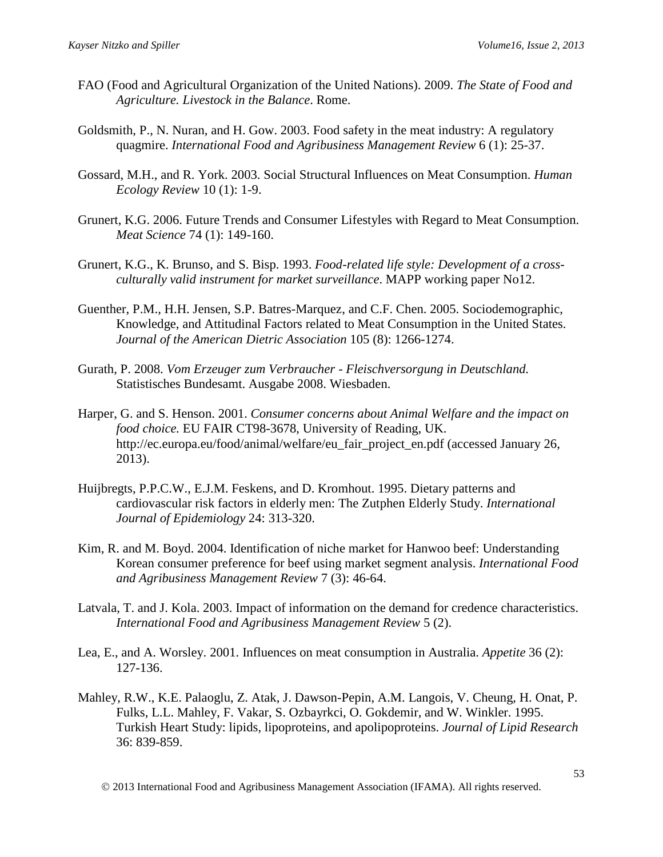- FAO (Food and Agricultural Organization of the United Nations). 2009. *The State of Food and Agriculture. Livestock in the Balance*. Rome.
- Goldsmith, P., N. Nuran, and H. Gow. 2003. Food safety in the meat industry: A regulatory quagmire. *International Food and Agribusiness Management Review* 6 (1): 25-37.
- Gossard, M.H., and R. York. 2003. Social Structural Influences on Meat Consumption. *Human Ecology Review* 10 (1): 1-9.
- Grunert, K.G. 2006. Future Trends and Consumer Lifestyles with Regard to Meat Consumption. *Meat Science* 74 (1): 149-160.
- Grunert, K.G., K. Brunso, and S. Bisp. 1993. *Food-related life style: Development of a crossculturally valid instrument for market surveillance*. MAPP working paper No12.
- Guenther, P.M., H.H. Jensen, S.P. Batres-Marquez, and C.F. Chen. 2005. Sociodemographic, Knowledge, and Attitudinal Factors related to Meat Consumption in the United States. *Journal of the American Dietric Association* 105 (8): 1266-1274.
- Gurath, P. 2008. *Vom Erzeuger zum Verbraucher Fleischversorgung in Deutschland.* Statistisches Bundesamt. Ausgabe 2008. Wiesbaden.
- Harper, G. and S. Henson. 2001. *Consumer concerns about Animal Welfare and the impact on food choice.* EU FAIR CT98-3678, University of Reading, UK. http://ec.europa.eu/food/animal/welfare/eu\_fair\_project\_en.pdf (accessed January 26, 2013).
- Huijbregts, P.P.C.W., E.J.M. Feskens, and D. Kromhout. 1995. Dietary patterns and cardiovascular risk factors in elderly men: The Zutphen Elderly Study. *International Journal of Epidemiology* 24: 313-320.
- Kim, R. and M. Boyd. 2004. Identification of niche market for Hanwoo beef: Understanding Korean consumer preference for beef using market segment analysis. *International Food and Agribusiness Management Review* 7 (3): 46-64.
- Latvala, T. and J. Kola. 2003. Impact of information on the demand for credence characteristics. *International Food and Agribusiness Management Review* 5 (2).
- Lea, E., and A. Worsley. 2001. Influences on meat consumption in Australia. *Appetite* 36 (2): 127-136.
- Mahley, R.W., K.E. Palaoglu, Z. Atak, J. Dawson-Pepin, A.M. Langois, V. Cheung, H. Onat, P. Fulks, L.L. Mahley, F. Vakar, S. Ozbayrkci, O. Gokdemir, and W. Winkler. 1995. Turkish Heart Study: lipids, lipoproteins, and apolipoproteins. *Journal of Lipid Research*  36: 839-859.

2013 International Food and Agribusiness Management Association (IFAMA). All rights reserved.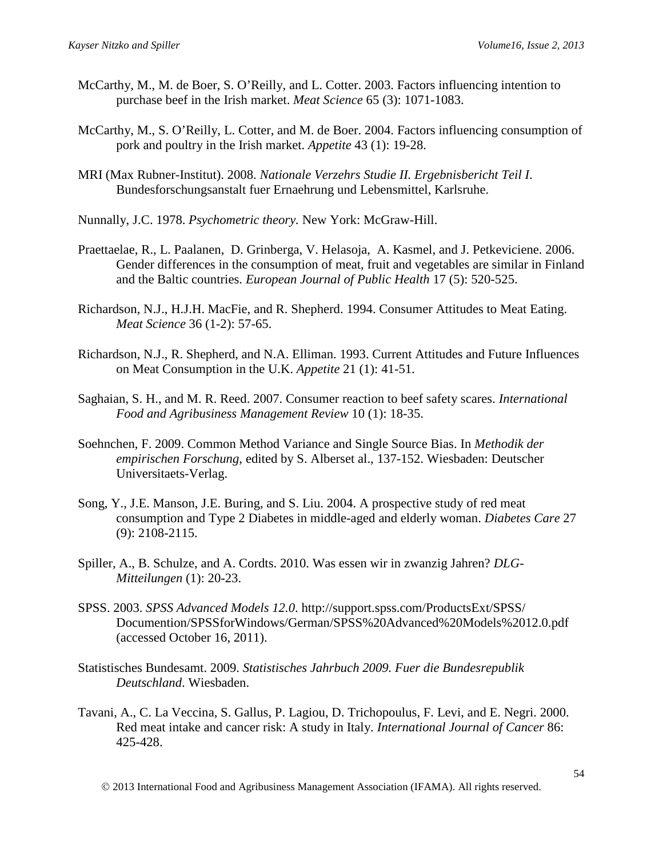- McCarthy, M., M. de Boer, S. O'Reilly, and L. Cotter. 2003. Factors influencing intention to purchase beef in the Irish market. *Meat Science* 65 (3): 1071-1083.
- McCarthy, M., S. O'Reilly, L. Cotter, and M. de Boer. 2004. Factors influencing consumption of pork and poultry in the Irish market. *Appetite* 43 (1): 19-28.
- MRI (Max Rubner-Institut). 2008. *Nationale Verzehrs Studie II. Ergebnisbericht Teil I*. Bundesforschungsanstalt fuer Ernaehrung und Lebensmittel, Karlsruhe.
- Nunnally, J.C. 1978. *Psychometric theory.* New York: McGraw-Hill.
- Praettaelae, R., L. Paalanen, D. Grinberga, V. Helasoja, A. Kasmel, and J. Petkeviciene. 2006. Gender differences in the consumption of meat, fruit and vegetables are similar in Finland and the Baltic countries. *European Journal of Public Health* 17 (5): 520-525.
- Richardson, N.J., H.J.H. MacFie, and R. Shepherd. 1994. Consumer Attitudes to Meat Eating. *Meat Science* 36 (1-2): 57-65.
- Richardson, N.J., R. Shepherd, and N.A. Elliman. 1993. Current Attitudes and Future Influences on Meat Consumption in the U.K. *Appetite* 21 (1): 41-51.
- Saghaian, S. H., and M. R. Reed. 2007. Consumer reaction to beef safety scares. *International Food and Agribusiness Management Review* 10 (1): 18-35.
- Soehnchen, F. 2009. Common Method Variance and Single Source Bias. In *Methodik der empirischen Forschung*, edited by S. Alberset al., 137-152. Wiesbaden: Deutscher Universitaets-Verlag.
- Song, Y., J.E. Manson, J.E. Buring, and S. Liu. 2004. A prospective study of red meat consumption and Type 2 Diabetes in middle-aged and elderly woman. *Diabetes Care* 27 (9): 2108-2115.
- Spiller, A., B. Schulze, and A. Cordts. 2010. Was essen wir in zwanzig Jahren? *DLG-Mitteilungen* (1): 20-23.
- SPSS. 2003. *SPSS Advanced Models 12.0*. http://support.spss.com/ProductsExt/SPSS/ Documention/SPSSforWindows/German/SPSS%20Advanced%20Models%2012.0.pdf (accessed October 16, 2011).
- Statistisches Bundesamt. 2009. *Statistisches Jahrbuch 2009. Fuer die Bundesrepublik Deutschland*. Wiesbaden.
- Tavani, A., C. La Veccina, S. Gallus, P. Lagiou, D. Trichopoulus, F. Levi, and E. Negri. 2000. Red meat intake and cancer risk: A study in Italy. *International Journal of Cancer* 86: 425-428.

2013 International Food and Agribusiness Management Association (IFAMA). All rights reserved.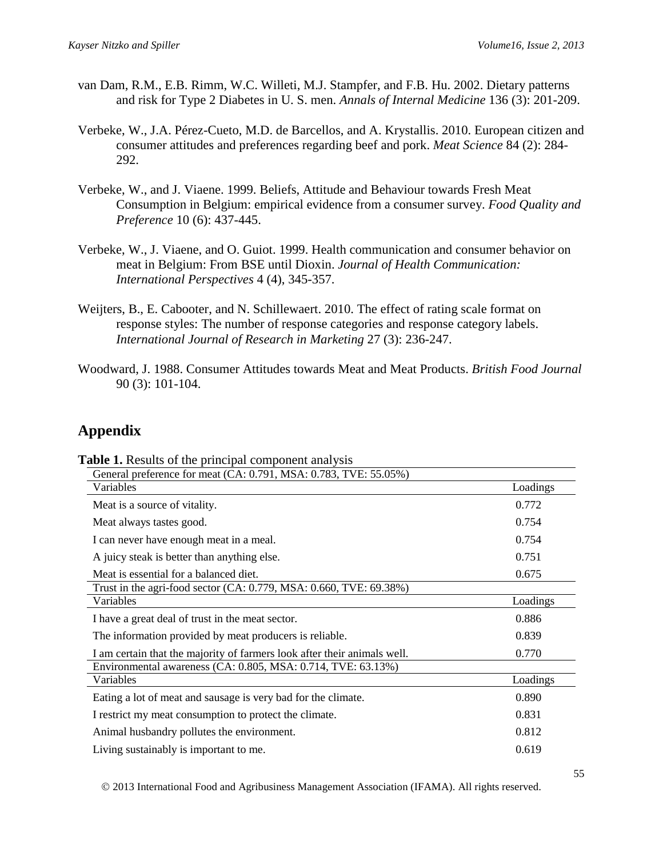- van Dam, R.M., E.B. Rimm, W.C. Willeti, M.J. Stampfer, and F.B. Hu. 2002. Dietary patterns and risk for Type 2 Diabetes in U. S. men. *Annals of Internal Medicine* 136 (3): 201-209.
- Verbeke, W., J.A. Pérez-Cueto, M.D. de Barcellos, and A. Krystallis. 2010. European citizen and consumer attitudes and preferences regarding beef and pork. *Meat Science* 84 (2): 284- 292.
- Verbeke, W., and J. Viaene. 1999. Beliefs, Attitude and Behaviour towards Fresh Meat Consumption in Belgium: empirical evidence from a consumer survey. *Food Quality and Preference* 10 (6): 437-445.
- Verbeke, W., J. Viaene, and O. Guiot. 1999. Health communication and consumer behavior on meat in Belgium: From BSE until Dioxin. *Journal of Health Communication: International Perspectives* 4 (4), 345-357.
- Weijters, B., E. Cabooter, and N. Schillewaert. 2010. The effect of rating scale format on response styles: The number of response categories and response category labels. *International Journal of Research in Marketing* 27 (3): 236-247.
- Woodward, J. 1988. Consumer Attitudes towards Meat and Meat Products. *British Food Journal* 90 (3): 101-104.

# **Appendix**

| General preference for meat (CA: 0.791, MSA: 0.783, TVE: 55.05%)         |          |
|--------------------------------------------------------------------------|----------|
| Variables                                                                | Loadings |
| Meat is a source of vitality.                                            | 0.772    |
| Meat always tastes good.                                                 | 0.754    |
| I can never have enough meat in a meal.                                  | 0.754    |
| A juicy steak is better than anything else.                              | 0.751    |
| Meat is essential for a balanced diet.                                   | 0.675    |
| Trust in the agri-food sector (CA: 0.779, MSA: 0.660, TVE: 69.38%)       |          |
| Variables                                                                | Loadings |
| I have a great deal of trust in the meat sector.                         | 0.886    |
| The information provided by meat producers is reliable.                  | 0.839    |
| I am certain that the majority of farmers look after their animals well. | 0.770    |
| Environmental awareness (CA: 0.805, MSA: 0.714, TVE: 63.13%)             |          |
| Variables                                                                | Loadings |
| Eating a lot of meat and sausage is very bad for the climate.            | 0.890    |
| I restrict my meat consumption to protect the climate.                   | 0.831    |
| Animal husbandry pollutes the environment.                               | 0.812    |
| Living sustainably is important to me.                                   | 0.619    |

**Table 1.** Results of the principal component analysis

2013 International Food and Agribusiness Management Association (IFAMA). All rights reserved.